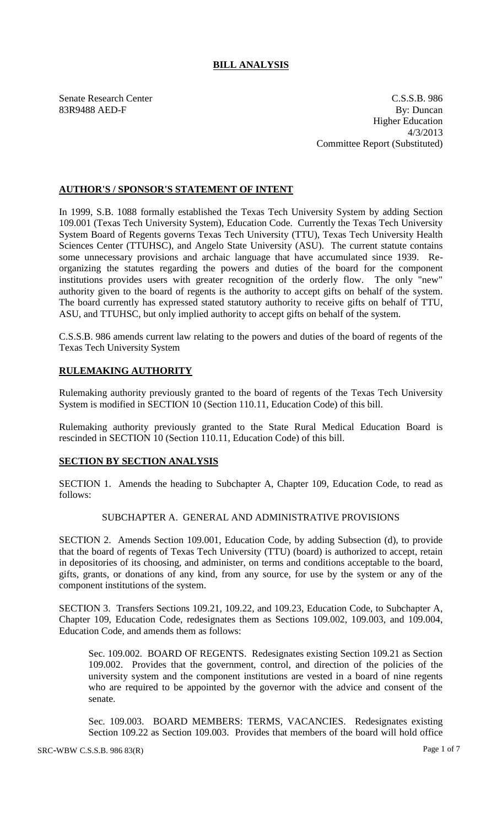# **BILL ANALYSIS**

Senate Research Center C.S.S.B. 986 83R9488 AED-F By: Duncan Higher Education 4/3/2013 Committee Report (Substituted)

# **AUTHOR'S / SPONSOR'S STATEMENT OF INTENT**

In 1999, S.B. 1088 formally established the Texas Tech University System by adding Section 109.001 (Texas Tech University System), Education Code. Currently the Texas Tech University System Board of Regents governs Texas Tech University (TTU), Texas Tech University Health Sciences Center (TTUHSC), and Angelo State University (ASU). The current statute contains some unnecessary provisions and archaic language that have accumulated since 1939. Reorganizing the statutes regarding the powers and duties of the board for the component institutions provides users with greater recognition of the orderly flow. The only "new" authority given to the board of regents is the authority to accept gifts on behalf of the system. The board currently has expressed stated statutory authority to receive gifts on behalf of TTU, ASU, and TTUHSC, but only implied authority to accept gifts on behalf of the system.

C.S.S.B. 986 amends current law relating to the powers and duties of the board of regents of the Texas Tech University System

# **RULEMAKING AUTHORITY**

Rulemaking authority previously granted to the board of regents of the Texas Tech University System is modified in SECTION 10 (Section 110.11, Education Code) of this bill.

Rulemaking authority previously granted to the State Rural Medical Education Board is rescinded in SECTION 10 (Section 110.11, Education Code) of this bill.

#### **SECTION BY SECTION ANALYSIS**

SECTION 1. Amends the heading to Subchapter A, Chapter 109, Education Code, to read as follows:

# SUBCHAPTER A. GENERAL AND ADMINISTRATIVE PROVISIONS

SECTION 2. Amends Section 109.001, Education Code, by adding Subsection (d), to provide that the board of regents of Texas Tech University (TTU) (board) is authorized to accept, retain in depositories of its choosing, and administer, on terms and conditions acceptable to the board, gifts, grants, or donations of any kind, from any source, for use by the system or any of the component institutions of the system.

SECTION 3. Transfers Sections 109.21, 109.22, and 109.23, Education Code, to Subchapter A, Chapter 109, Education Code, redesignates them as Sections 109.002, 109.003, and 109.004, Education Code, and amends them as follows:

Sec. 109.002. BOARD OF REGENTS. Redesignates existing Section 109.21 as Section 109.002. Provides that the government, control, and direction of the policies of the university system and the component institutions are vested in a board of nine regents who are required to be appointed by the governor with the advice and consent of the senate.

Sec. 109.003. BOARD MEMBERS: TERMS, VACANCIES. Redesignates existing Section 109.22 as Section 109.003. Provides that members of the board will hold office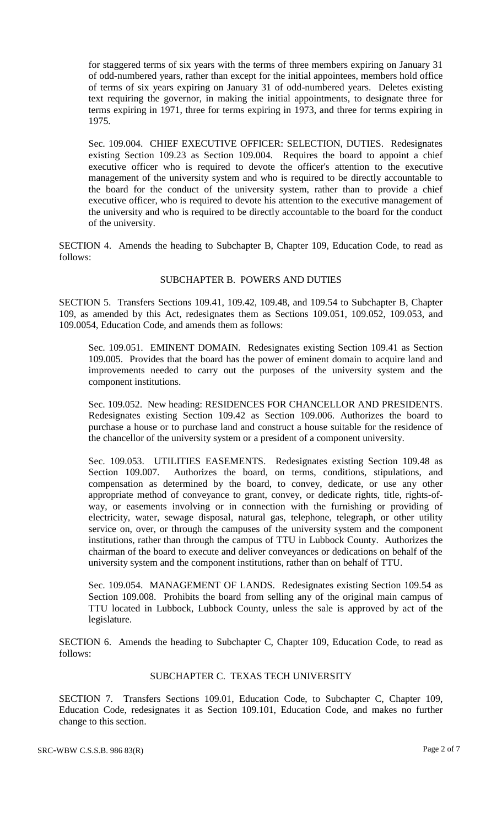for staggered terms of six years with the terms of three members expiring on January 31 of odd-numbered years, rather than except for the initial appointees, members hold office of terms of six years expiring on January 31 of odd-numbered years. Deletes existing text requiring the governor, in making the initial appointments, to designate three for terms expiring in 1971, three for terms expiring in 1973, and three for terms expiring in 1975.

Sec. 109.004. CHIEF EXECUTIVE OFFICER: SELECTION, DUTIES. Redesignates existing Section 109.23 as Section 109.004. Requires the board to appoint a chief executive officer who is required to devote the officer's attention to the executive management of the university system and who is required to be directly accountable to the board for the conduct of the university system, rather than to provide a chief executive officer, who is required to devote his attention to the executive management of the university and who is required to be directly accountable to the board for the conduct of the university.

SECTION 4. Amends the heading to Subchapter B, Chapter 109, Education Code, to read as follows:

#### SUBCHAPTER B. POWERS AND DUTIES

SECTION 5. Transfers Sections 109.41, 109.42, 109.48, and 109.54 to Subchapter B, Chapter 109, as amended by this Act, redesignates them as Sections 109.051, 109.052, 109.053, and 109.0054, Education Code, and amends them as follows:

Sec. 109.051. EMINENT DOMAIN. Redesignates existing Section 109.41 as Section 109.005. Provides that the board has the power of eminent domain to acquire land and improvements needed to carry out the purposes of the university system and the component institutions.

Sec. 109.052. New heading: RESIDENCES FOR CHANCELLOR AND PRESIDENTS. Redesignates existing Section 109.42 as Section 109.006. Authorizes the board to purchase a house or to purchase land and construct a house suitable for the residence of the chancellor of the university system or a president of a component university.

Sec. 109.053. UTILITIES EASEMENTS. Redesignates existing Section 109.48 as Section 109.007. Authorizes the board, on terms, conditions, stipulations, and compensation as determined by the board, to convey, dedicate, or use any other appropriate method of conveyance to grant, convey, or dedicate rights, title, rights-ofway, or easements involving or in connection with the furnishing or providing of electricity, water, sewage disposal, natural gas, telephone, telegraph, or other utility service on, over, or through the campuses of the university system and the component institutions, rather than through the campus of TTU in Lubbock County. Authorizes the chairman of the board to execute and deliver conveyances or dedications on behalf of the university system and the component institutions, rather than on behalf of TTU.

Sec. 109.054. MANAGEMENT OF LANDS. Redesignates existing Section 109.54 as Section 109.008. Prohibits the board from selling any of the original main campus of TTU located in Lubbock, Lubbock County, unless the sale is approved by act of the legislature.

SECTION 6. Amends the heading to Subchapter C, Chapter 109, Education Code, to read as follows:

# SUBCHAPTER C. TEXAS TECH UNIVERSITY

SECTION 7. Transfers Sections 109.01, Education Code, to Subchapter C, Chapter 109, Education Code, redesignates it as Section 109.101, Education Code, and makes no further change to this section.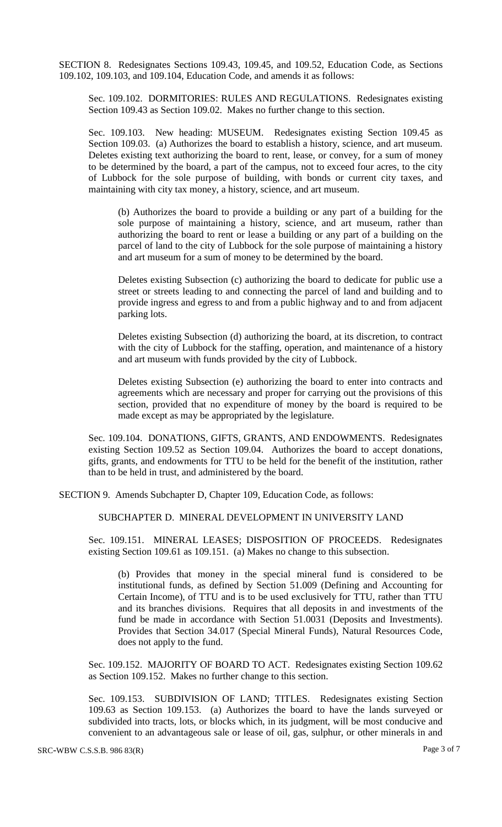SECTION 8. Redesignates Sections 109.43, 109.45, and 109.52, Education Code, as Sections 109.102, 109.103, and 109.104, Education Code, and amends it as follows:

Sec. 109.102. DORMITORIES: RULES AND REGULATIONS. Redesignates existing Section 109.43 as Section 109.02. Makes no further change to this section.

Sec. 109.103. New heading: MUSEUM. Redesignates existing Section 109.45 as Section 109.03. (a) Authorizes the board to establish a history, science, and art museum. Deletes existing text authorizing the board to rent, lease, or convey, for a sum of money to be determined by the board, a part of the campus, not to exceed four acres, to the city of Lubbock for the sole purpose of building, with bonds or current city taxes, and maintaining with city tax money, a history, science, and art museum.

(b) Authorizes the board to provide a building or any part of a building for the sole purpose of maintaining a history, science, and art museum, rather than authorizing the board to rent or lease a building or any part of a building on the parcel of land to the city of Lubbock for the sole purpose of maintaining a history and art museum for a sum of money to be determined by the board.

Deletes existing Subsection (c) authorizing the board to dedicate for public use a street or streets leading to and connecting the parcel of land and building and to provide ingress and egress to and from a public highway and to and from adjacent parking lots.

Deletes existing Subsection (d) authorizing the board, at its discretion, to contract with the city of Lubbock for the staffing, operation, and maintenance of a history and art museum with funds provided by the city of Lubbock.

Deletes existing Subsection (e) authorizing the board to enter into contracts and agreements which are necessary and proper for carrying out the provisions of this section, provided that no expenditure of money by the board is required to be made except as may be appropriated by the legislature.

Sec. 109.104. DONATIONS, GIFTS, GRANTS, AND ENDOWMENTS. Redesignates existing Section 109.52 as Section 109.04. Authorizes the board to accept donations, gifts, grants, and endowments for TTU to be held for the benefit of the institution, rather than to be held in trust, and administered by the board.

SECTION 9. Amends Subchapter D, Chapter 109, Education Code, as follows:

SUBCHAPTER D. MINERAL DEVELOPMENT IN UNIVERSITY LAND

Sec. 109.151. MINERAL LEASES; DISPOSITION OF PROCEEDS. Redesignates existing Section 109.61 as 109.151. (a) Makes no change to this subsection.

(b) Provides that money in the special mineral fund is considered to be institutional funds, as defined by Section 51.009 (Defining and Accounting for Certain Income), of TTU and is to be used exclusively for TTU, rather than TTU and its branches divisions. Requires that all deposits in and investments of the fund be made in accordance with Section 51.0031 (Deposits and Investments). Provides that Section 34.017 (Special Mineral Funds), Natural Resources Code, does not apply to the fund.

Sec. 109.152. MAJORITY OF BOARD TO ACT. Redesignates existing Section 109.62 as Section 109.152. Makes no further change to this section.

Sec. 109.153. SUBDIVISION OF LAND; TITLES. Redesignates existing Section 109.63 as Section 109.153. (a) Authorizes the board to have the lands surveyed or subdivided into tracts, lots, or blocks which, in its judgment, will be most conducive and convenient to an advantageous sale or lease of oil, gas, sulphur, or other minerals in and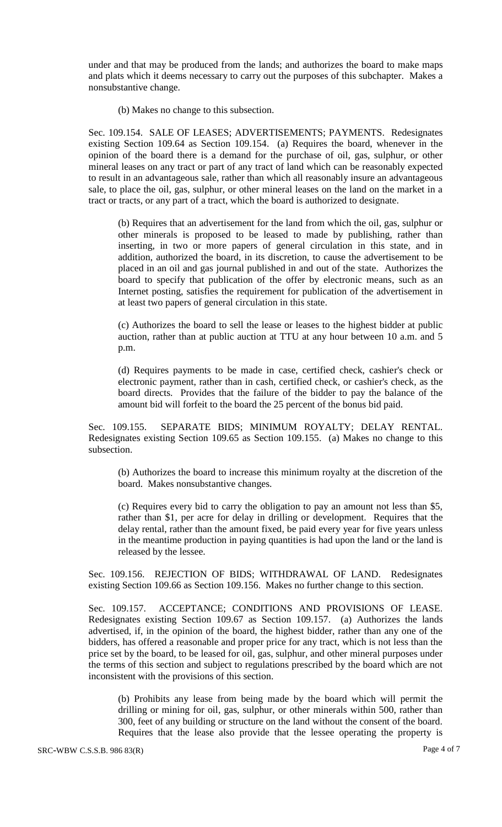under and that may be produced from the lands; and authorizes the board to make maps and plats which it deems necessary to carry out the purposes of this subchapter. Makes a nonsubstantive change.

(b) Makes no change to this subsection.

Sec. 109.154. SALE OF LEASES; ADVERTISEMENTS; PAYMENTS. Redesignates existing Section 109.64 as Section 109.154. (a) Requires the board, whenever in the opinion of the board there is a demand for the purchase of oil, gas, sulphur, or other mineral leases on any tract or part of any tract of land which can be reasonably expected to result in an advantageous sale, rather than which all reasonably insure an advantageous sale, to place the oil, gas, sulphur, or other mineral leases on the land on the market in a tract or tracts, or any part of a tract, which the board is authorized to designate.

(b) Requires that an advertisement for the land from which the oil, gas, sulphur or other minerals is proposed to be leased to made by publishing, rather than inserting, in two or more papers of general circulation in this state, and in addition, authorized the board, in its discretion, to cause the advertisement to be placed in an oil and gas journal published in and out of the state. Authorizes the board to specify that publication of the offer by electronic means, such as an Internet posting, satisfies the requirement for publication of the advertisement in at least two papers of general circulation in this state.

(c) Authorizes the board to sell the lease or leases to the highest bidder at public auction, rather than at public auction at TTU at any hour between 10 a.m. and 5 p.m.

(d) Requires payments to be made in case, certified check, cashier's check or electronic payment, rather than in cash, certified check, or cashier's check, as the board directs. Provides that the failure of the bidder to pay the balance of the amount bid will forfeit to the board the 25 percent of the bonus bid paid.

Sec. 109.155. SEPARATE BIDS; MINIMUM ROYALTY; DELAY RENTAL. Redesignates existing Section 109.65 as Section 109.155. (a) Makes no change to this subsection.

(b) Authorizes the board to increase this minimum royalty at the discretion of the board. Makes nonsubstantive changes.

(c) Requires every bid to carry the obligation to pay an amount not less than \$5, rather than \$1, per acre for delay in drilling or development. Requires that the delay rental, rather than the amount fixed, be paid every year for five years unless in the meantime production in paying quantities is had upon the land or the land is released by the lessee.

Sec. 109.156. REJECTION OF BIDS; WITHDRAWAL OF LAND. Redesignates existing Section 109.66 as Section 109.156. Makes no further change to this section.

Sec. 109.157. ACCEPTANCE; CONDITIONS AND PROVISIONS OF LEASE. Redesignates existing Section 109.67 as Section 109.157. (a) Authorizes the lands advertised, if, in the opinion of the board, the highest bidder, rather than any one of the bidders, has offered a reasonable and proper price for any tract, which is not less than the price set by the board, to be leased for oil, gas, sulphur, and other mineral purposes under the terms of this section and subject to regulations prescribed by the board which are not inconsistent with the provisions of this section.

(b) Prohibits any lease from being made by the board which will permit the drilling or mining for oil, gas, sulphur, or other minerals within 500, rather than 300, feet of any building or structure on the land without the consent of the board. Requires that the lease also provide that the lessee operating the property is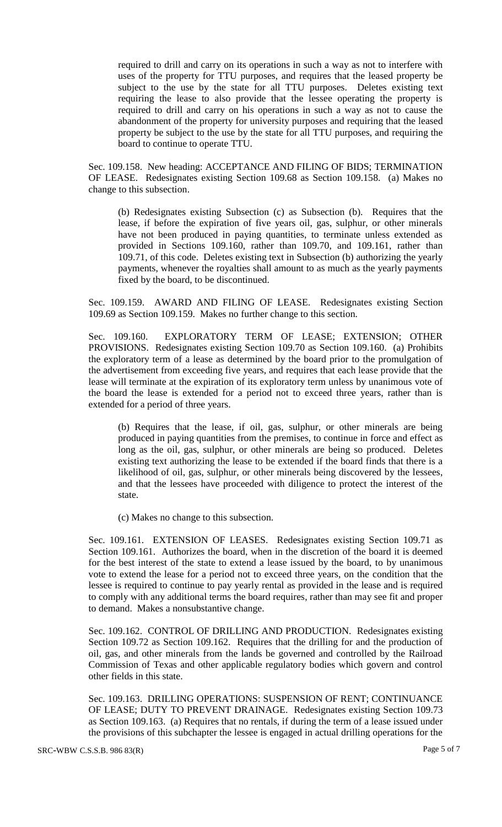required to drill and carry on its operations in such a way as not to interfere with uses of the property for TTU purposes, and requires that the leased property be subject to the use by the state for all TTU purposes. Deletes existing text requiring the lease to also provide that the lessee operating the property is required to drill and carry on his operations in such a way as not to cause the abandonment of the property for university purposes and requiring that the leased property be subject to the use by the state for all TTU purposes, and requiring the board to continue to operate TTU.

Sec. 109.158. New heading: ACCEPTANCE AND FILING OF BIDS; TERMINATION OF LEASE. Redesignates existing Section 109.68 as Section 109.158. (a) Makes no change to this subsection.

(b) Redesignates existing Subsection (c) as Subsection (b). Requires that the lease, if before the expiration of five years oil, gas, sulphur, or other minerals have not been produced in paying quantities, to terminate unless extended as provided in Sections 109.160, rather than 109.70, and 109.161, rather than 109.71, of this code. Deletes existing text in Subsection (b) authorizing the yearly payments, whenever the royalties shall amount to as much as the yearly payments fixed by the board, to be discontinued.

Sec. 109.159. AWARD AND FILING OF LEASE. Redesignates existing Section 109.69 as Section 109.159. Makes no further change to this section.

Sec. 109.160. EXPLORATORY TERM OF LEASE; EXTENSION; OTHER PROVISIONS. Redesignates existing Section 109.70 as Section 109.160. (a) Prohibits the exploratory term of a lease as determined by the board prior to the promulgation of the advertisement from exceeding five years, and requires that each lease provide that the lease will terminate at the expiration of its exploratory term unless by unanimous vote of the board the lease is extended for a period not to exceed three years, rather than is extended for a period of three years.

(b) Requires that the lease, if oil, gas, sulphur, or other minerals are being produced in paying quantities from the premises, to continue in force and effect as long as the oil, gas, sulphur, or other minerals are being so produced. Deletes existing text authorizing the lease to be extended if the board finds that there is a likelihood of oil, gas, sulphur, or other minerals being discovered by the lessees, and that the lessees have proceeded with diligence to protect the interest of the state.

(c) Makes no change to this subsection.

Sec. 109.161. EXTENSION OF LEASES. Redesignates existing Section 109.71 as Section 109.161. Authorizes the board, when in the discretion of the board it is deemed for the best interest of the state to extend a lease issued by the board, to by unanimous vote to extend the lease for a period not to exceed three years, on the condition that the lessee is required to continue to pay yearly rental as provided in the lease and is required to comply with any additional terms the board requires, rather than may see fit and proper to demand. Makes a nonsubstantive change.

Sec. 109.162. CONTROL OF DRILLING AND PRODUCTION. Redesignates existing Section 109.72 as Section 109.162. Requires that the drilling for and the production of oil, gas, and other minerals from the lands be governed and controlled by the Railroad Commission of Texas and other applicable regulatory bodies which govern and control other fields in this state.

Sec. 109.163. DRILLING OPERATIONS: SUSPENSION OF RENT; CONTINUANCE OF LEASE; DUTY TO PREVENT DRAINAGE. Redesignates existing Section 109.73 as Section 109.163. (a) Requires that no rentals, if during the term of a lease issued under the provisions of this subchapter the lessee is engaged in actual drilling operations for the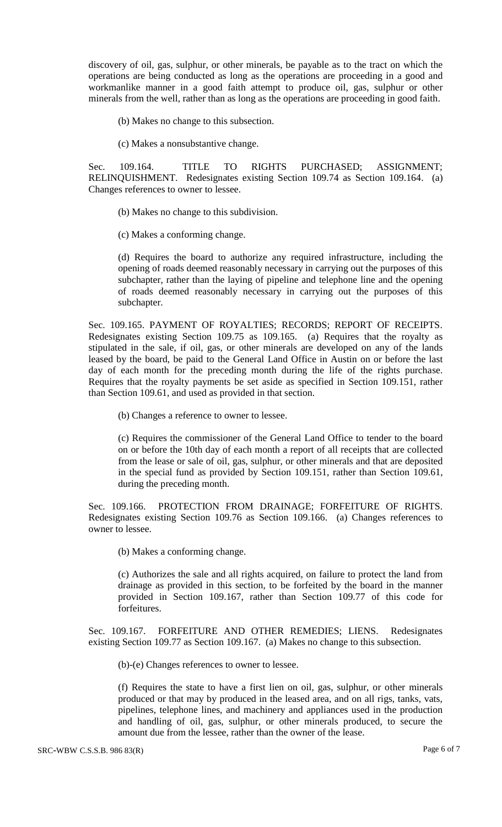discovery of oil, gas, sulphur, or other minerals, be payable as to the tract on which the operations are being conducted as long as the operations are proceeding in a good and workmanlike manner in a good faith attempt to produce oil, gas, sulphur or other minerals from the well, rather than as long as the operations are proceeding in good faith.

- (b) Makes no change to this subsection.
- (c) Makes a nonsubstantive change.

Sec. 109.164. TITLE TO RIGHTS PURCHASED; ASSIGNMENT; RELINQUISHMENT. Redesignates existing Section 109.74 as Section 109.164. (a) Changes references to owner to lessee.

- (b) Makes no change to this subdivision.
- (c) Makes a conforming change.

(d) Requires the board to authorize any required infrastructure, including the opening of roads deemed reasonably necessary in carrying out the purposes of this subchapter, rather than the laying of pipeline and telephone line and the opening of roads deemed reasonably necessary in carrying out the purposes of this subchapter.

Sec. 109.165. PAYMENT OF ROYALTIES; RECORDS; REPORT OF RECEIPTS. Redesignates existing Section 109.75 as 109.165. (a) Requires that the royalty as stipulated in the sale, if oil, gas, or other minerals are developed on any of the lands leased by the board, be paid to the General Land Office in Austin on or before the last day of each month for the preceding month during the life of the rights purchase. Requires that the royalty payments be set aside as specified in Section 109.151, rather than Section 109.61, and used as provided in that section.

(b) Changes a reference to owner to lessee.

(c) Requires the commissioner of the General Land Office to tender to the board on or before the 10th day of each month a report of all receipts that are collected from the lease or sale of oil, gas, sulphur, or other minerals and that are deposited in the special fund as provided by Section 109.151, rather than Section 109.61, during the preceding month.

Sec. 109.166. PROTECTION FROM DRAINAGE; FORFEITURE OF RIGHTS. Redesignates existing Section 109.76 as Section 109.166. (a) Changes references to owner to lessee.

(b) Makes a conforming change.

(c) Authorizes the sale and all rights acquired, on failure to protect the land from drainage as provided in this section, to be forfeited by the board in the manner provided in Section 109.167, rather than Section 109.77 of this code for forfeitures.

Sec. 109.167. FORFEITURE AND OTHER REMEDIES; LIENS. Redesignates existing Section 109.77 as Section 109.167. (a) Makes no change to this subsection.

(b)-(e) Changes references to owner to lessee.

(f) Requires the state to have a first lien on oil, gas, sulphur, or other minerals produced or that may by produced in the leased area, and on all rigs, tanks, vats, pipelines, telephone lines, and machinery and appliances used in the production and handling of oil, gas, sulphur, or other minerals produced, to secure the amount due from the lessee, rather than the owner of the lease.